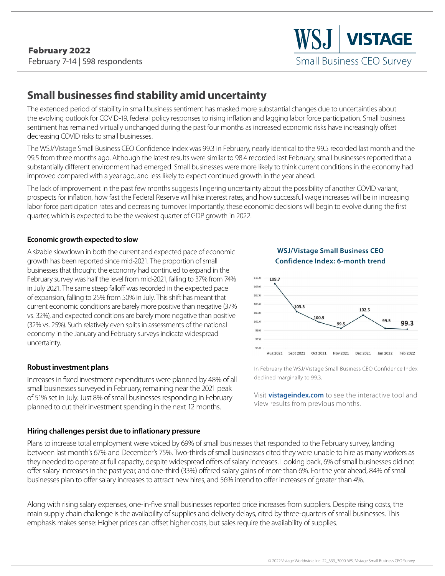**S.I | VISTAGE** Small Business CEO Survey

# **Small businesses find stability amid uncertainty**

The extended period of stability in small business sentiment has masked more substantial changes due to uncertainties about the evolving outlook for COVID-19, federal policy responses to rising inflation and lagging labor force participation. Small business sentiment has remained virtually unchanged during the past four months as increased economic risks have increasingly offset decreasing COVID risks to small businesses.

The WSJ/Vistage Small Business CEO Confidence Index was 99.3 in February, nearly identical to the 99.5 recorded last month and the 99.5 from three months ago. Although the latest results were similar to 98.4 recorded last February, small businesses reported that a substantially different environment had emerged. Small businesses were more likely to think current conditions in the economy had improved compared with a year ago, and less likely to expect continued growth in the year ahead.

The lack of improvement in the past few months suggests lingering uncertainty about the possibility of another COVID variant, prospects for inflation, how fast the Federal Reserve will hike interest rates, and how successful wage increases will be in increasing labor force participation rates and decreasing turnover. Importantly, these economic decisions will begin to evolve during the first quarter, which is expected to be the weakest quarter of GDP growth in 2022.

#### **Economic growth expected to slow**

A sizable slowdown in both the current and expected pace of economic growth has been reported since mid-2021. The proportion of small businesses that thought the economy had continued to expand in the February survey was half the level from mid-2021, falling to 37% from 74% in July 2021. The same steep falloff was recorded in the expected pace of expansion, falling to 25% from 50% in July. This shift has meant that current economic conditions are barely more positive than negative (37% vs. 32%), and expected conditions are barely more negative than positive (32% vs. 25%). Such relatively even splits in assessments of the national economy in the January and February surveys indicate widespread uncertainty.

#### **Robust investment plans**

Increases in fixed investment expenditures were planned by 48% of all small businesses surveyed in February, remaining near the 2021 peak of 51% set in July. Just 8% of small businesses responding in February planned to cut their investment spending in the next 12 months.

#### **Hiring challenges persist due to inflationary pressure**





In February the WSJ/Vistage Small Business CEO Confidence Index declined marginally to 99.3.

Visit **[vistageindex.com](http://www.vistageindex.com)** to see the interactive tool and view results from previous months.

Plans to increase total employment were voiced by 69% of small businesses that responded to the February survey, landing between last month's 67% and December's 75%. Two-thirds of small businesses cited they were unable to hire as many workers as they needed to operate at full capacity, despite widespread offers of salary increases. Looking back, 6% of small businesses did not offer salary increases in the past year, and one-third (33%) offered salary gains of more than 6%. For the year ahead, 84% of small businesses plan to offer salary increases to attract new hires, and 56% intend to offer increases of greater than 4%.

Along with rising salary expenses, one-in-five small businesses reported price increases from suppliers. Despite rising costs, the main supply chain challenge is the availability of supplies and delivery delays, cited by three-quarters of small businesses. This emphasis makes sense: Higher prices can offset higher costs, but sales require the availability of supplies.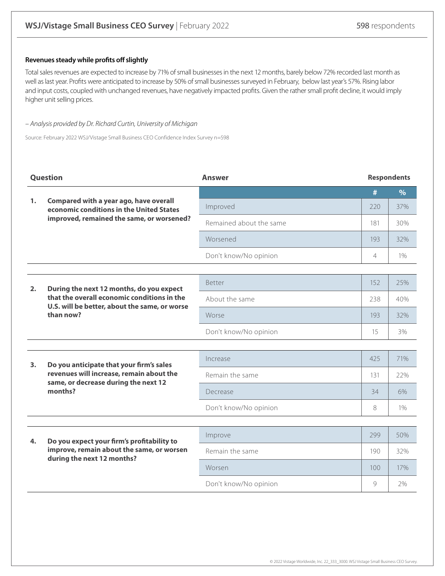#### **Revenues steady while profits off slightly**

Total sales revenues are expected to increase by 71% of small businesses in the next 12 months, barely below 72% recorded last month as well as last year. Profits were anticipated to increase by 50% of small businesses surveyed in February, below last year's 57%. Rising labor and input costs, coupled with unchanged revenues, have negatively impacted profits. Given the rather small profit decline, it would imply higher unit selling prices.

#### – Analysis provided by Dr. Richard Curtin, University of Michigan

Source: February 2022 WSJ/Vistage Small Business CEO Confidence Index Survey n=598

| Question |                                                                                                                                                       | <b>Answer</b>           | <b>Respondents</b> |       |
|----------|-------------------------------------------------------------------------------------------------------------------------------------------------------|-------------------------|--------------------|-------|
|          | Compared with a year ago, have overall<br>economic conditions in the United States<br>improved, remained the same, or worsened?                       |                         | #                  | $\%$  |
| 1.       |                                                                                                                                                       | Improved                | 220                | 37%   |
|          |                                                                                                                                                       | Remained about the same | 181                | 30%   |
|          |                                                                                                                                                       | Worsened                | 193                | 32%   |
|          |                                                                                                                                                       | Don't know/No opinion   | $\overline{4}$     | $1\%$ |
|          |                                                                                                                                                       |                         |                    |       |
| 2.       | During the next 12 months, do you expect<br>that the overall economic conditions in the<br>U.S. will be better, about the same, or worse<br>than now? | <b>Better</b>           | 152                | 25%   |
|          |                                                                                                                                                       | About the same          | 238                | 40%   |
|          |                                                                                                                                                       | Worse                   | 193                | 32%   |
|          |                                                                                                                                                       | Don't know/No opinion   | 15                 | 3%    |
|          |                                                                                                                                                       |                         |                    |       |
| 3.       | Do you anticipate that your firm's sales<br>revenues will increase, remain about the<br>same, or decrease during the next 12<br>months?               | Increase                | 425                | 71%   |
|          |                                                                                                                                                       | Remain the same         | 131                | 22%   |
|          |                                                                                                                                                       | Decrease                | 34                 | 6%    |
|          |                                                                                                                                                       | Don't know/No opinion   | 8                  | $1\%$ |
|          |                                                                                                                                                       |                         |                    |       |
| 4.       | Do you expect your firm's profitability to<br>improve, remain about the same, or worsen<br>during the next 12 months?                                 | Improve                 | 299                | 50%   |
|          |                                                                                                                                                       | Remain the same         | 190                | 32%   |
|          |                                                                                                                                                       | Worsen                  | 100 <sup>°</sup>   | 17%   |
|          |                                                                                                                                                       | Don't know/No opinion   | $\circ$            | 2%    |
|          |                                                                                                                                                       |                         |                    |       |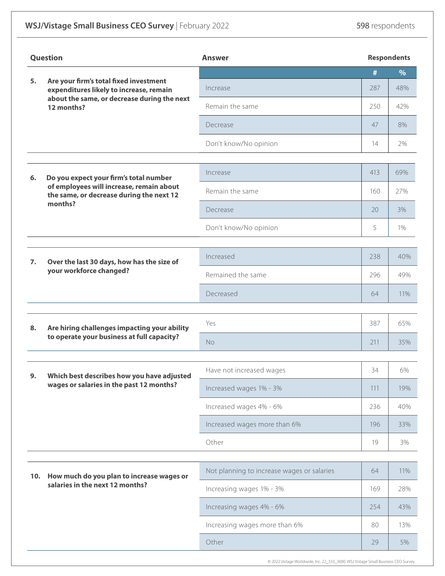## **WSJ/Vistage Small Business CEO Survey** | February 2022 **598** respondents

| <b>Question</b> |                                                                                                                                                | <b>Answer</b>                              |     | <b>Respondents</b> |  |
|-----------------|------------------------------------------------------------------------------------------------------------------------------------------------|--------------------------------------------|-----|--------------------|--|
| 5.              |                                                                                                                                                |                                            | #   | $\%$               |  |
|                 | Are your firm's total fixed investment<br>expenditures likely to increase, remain<br>about the same, or decrease during the next<br>12 months? | Increase                                   | 287 | 48%                |  |
|                 |                                                                                                                                                | Remain the same                            | 250 | 42%                |  |
|                 |                                                                                                                                                | Decrease                                   | 47  | 8%                 |  |
|                 |                                                                                                                                                | Don't know/No opinion                      | 14  | 2%                 |  |
| 6.              | Do you expect your firm's total number<br>of employees will increase, remain about<br>the same, or decrease during the next 12                 | Increase                                   | 413 | 69%                |  |
|                 |                                                                                                                                                | Remain the same                            | 160 | 27%                |  |
|                 | months?                                                                                                                                        | Decrease                                   | 20  | 3%                 |  |
|                 |                                                                                                                                                | Don't know/No opinion                      | 5   | 1%                 |  |
|                 |                                                                                                                                                |                                            |     |                    |  |
| 7.              | Over the last 30 days, how has the size of<br>your workforce changed?                                                                          | Increased                                  | 238 | 40%                |  |
|                 |                                                                                                                                                | Remained the same                          | 296 | 49%                |  |
|                 |                                                                                                                                                | Decreased                                  | 64  | 11%                |  |
|                 |                                                                                                                                                |                                            |     |                    |  |
| 8.              | Are hiring challenges impacting your ability<br>to operate your business at full capacity?                                                     | Yes                                        | 387 | 65%                |  |
|                 |                                                                                                                                                | <b>No</b>                                  | 211 | 35%                |  |
| 9.              | Which best describes how you have adjusted<br>wages or salaries in the past 12 months?                                                         | Have not increased wages                   | 34  | 6%                 |  |
|                 |                                                                                                                                                | Increased wages 1% - 3%                    | 111 | 19%                |  |
|                 |                                                                                                                                                | Increased wages 4% - 6%                    | 236 | 40%                |  |
|                 |                                                                                                                                                | Increased wages more than 6%               | 196 | 33%                |  |
|                 |                                                                                                                                                | Other                                      | 19  | 3%                 |  |
|                 |                                                                                                                                                |                                            |     |                    |  |
|                 | 10. How much do you plan to increase wages or<br>salaries in the next 12 months?                                                               | Not planning to increase wages or salaries | 64  | 11%                |  |
|                 |                                                                                                                                                | Increasing wages 1% - 3%                   | 169 | 28%                |  |
|                 |                                                                                                                                                | Increasing wages 4% - 6%                   | 254 | 43%                |  |
|                 |                                                                                                                                                | Increasing wages more than 6%              | 80  | 13%                |  |
|                 |                                                                                                                                                | Other                                      | 29  | 5%                 |  |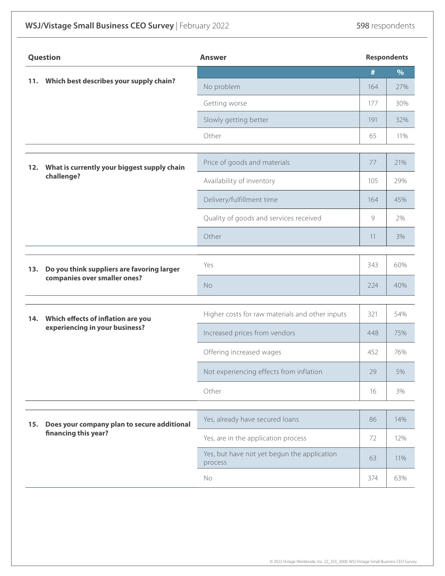## **WSJ/Vistage Small Business CEO Survey** | February 2022 **598** respondents

| <b>Question</b> |                                                                      | <b>Answer</b>                                          |     | <b>Respondents</b> |  |
|-----------------|----------------------------------------------------------------------|--------------------------------------------------------|-----|--------------------|--|
|                 |                                                                      |                                                        | #   | $\%$               |  |
| 11.             | Which best describes your supply chain?                              | No problem                                             | 164 | 27%                |  |
|                 |                                                                      | Getting worse                                          | 177 | 30%                |  |
|                 |                                                                      | Slowly getting better                                  | 191 | 32%                |  |
|                 |                                                                      | Other                                                  | 65  | 11%                |  |
| 12.             | What is currently your biggest supply chain<br>challenge?            | Price of goods and materials                           | 77  | 21%                |  |
|                 |                                                                      | Availability of inventory                              | 105 | 29%                |  |
|                 |                                                                      | Delivery/fulfillment time                              | 164 | 45%                |  |
|                 |                                                                      | Quality of goods and services received                 | 9   | 2%                 |  |
|                 |                                                                      | Other                                                  | 11  | 3%                 |  |
| 13.             | Do you think suppliers are favoring larger                           | Yes                                                    | 343 | 60%                |  |
|                 | companies over smaller ones?                                         | No                                                     | 224 | 40%                |  |
|                 |                                                                      |                                                        |     | 54%                |  |
| 14.             | Which effects of inflation are you<br>experiencing in your business? | Higher costs for raw materials and other inputs        | 321 |                    |  |
|                 |                                                                      | Increased prices from vendors                          | 448 | 75%                |  |
|                 |                                                                      | Offering increased wages                               | 452 | 76%                |  |
|                 |                                                                      | Not experiencing effects from inflation                | 29  | 5%                 |  |
|                 |                                                                      | Other                                                  | 16  | 3%                 |  |
|                 | Does your company plan to secure additional<br>financing this year?  | Yes, already have secured loans                        | 86  | 14%                |  |
| 15.             |                                                                      |                                                        |     |                    |  |
|                 |                                                                      | Yes, are in the application process                    | 72  | 12%                |  |
|                 |                                                                      | Yes, but have not yet begun the application<br>process | 63  | 11%                |  |
|                 |                                                                      | No                                                     | 374 | 63%                |  |